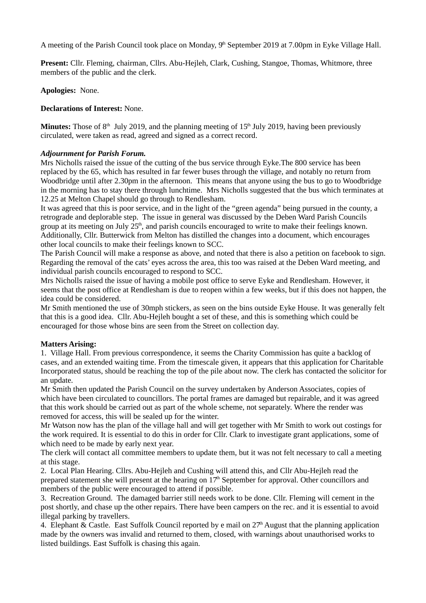A meeting of the Parish Council took place on Monday, 9<sup>th</sup> September 2019 at 7.00pm in Eyke Village Hall.

**Present:** Cllr. Fleming, chairman, Cllrs. Abu-Hejleh, Clark, Cushing, Stangoe, Thomas, Whitmore, three members of the public and the clerk.

**Apologies:** None.

### **Declarations of Interest:** None.

**Minutes:** Those of 8<sup>th</sup> July 2019, and the planning meeting of 15<sup>th</sup> July 2019, having been previously circulated, were taken as read, agreed and signed as a correct record.

#### *Adjournment for Parish Forum.*

Mrs Nicholls raised the issue of the cutting of the bus service through Eyke.The 800 service has been replaced by the 65, which has resulted in far fewer buses through the village, and notably no return from Woodbridge until after 2.30pm in the afternoon. This means that anyone using the bus to go to Woodbridge in the morning has to stay there through lunchtime. Mrs Nicholls suggested that the bus which terminates at 12.25 at Melton Chapel should go through to Rendlesham.

It was agreed that this is poor service, and in the light of the "green agenda" being pursued in the county, a retrograde and deplorable step. The issue in general was discussed by the Deben Ward Parish Councils group at its meeting on July  $25<sup>th</sup>$ , and parish councils encouraged to write to make their feelings known. Additionally, Cllr. Butterwick from Melton has distilled the changes into a document, which encourages other local councils to make their feelings known to SCC.

The Parish Council will make a response as above, and noted that there is also a petition on facebook to sign. Regarding the removal of the cats' eyes across the area, this too was raised at the Deben Ward meeting, and individual parish councils encouraged to respond to SCC.

Mrs Nicholls raised the issue of having a mobile post office to serve Eyke and Rendlesham. However, it seems that the post office at Rendlesham is due to reopen within a few weeks, but if this does not happen, the idea could be considered.

Mr Smith mentioned the use of 30mph stickers, as seen on the bins outside Eyke House. It was generally felt that this is a good idea. Cllr. Abu-Hejleh bought a set of these, and this is something which could be encouraged for those whose bins are seen from the Street on collection day.

### **Matters Arising:**

1. Village Hall. From previous correspondence, it seems the Charity Commission has quite a backlog of cases, and an extended waiting time. From the timescale given, it appears that this application for Charitable Incorporated status, should be reaching the top of the pile about now. The clerk has contacted the solicitor for an update.

Mr Smith then updated the Parish Council on the survey undertaken by Anderson Associates, copies of which have been circulated to councillors. The portal frames are damaged but repairable, and it was agreed that this work should be carried out as part of the whole scheme, not separately. Where the render was removed for access, this will be sealed up for the winter.

Mr Watson now has the plan of the village hall and will get together with Mr Smith to work out costings for the work required. It is essential to do this in order for Cllr. Clark to investigate grant applications, some of which need to be made by early next year.

The clerk will contact all committee members to update them, but it was not felt necessary to call a meeting at this stage.

2. Local Plan Hearing. Cllrs. Abu-Hejleh and Cushing will attend this, and Cllr Abu-Hejleh read the prepared statement she will present at the hearing on  $17<sup>th</sup>$  September for approval. Other councillors and members of the public were encouraged to attend if possible.

3. Recreation Ground. The damaged barrier still needs work to be done. Cllr. Fleming will cement in the post shortly, and chase up the other repairs. There have been campers on the rec. and it is essential to avoid illegal parking by travellers.

4. Elephant & Castle. East Suffolk Council reported by e mail on  $27<sup>th</sup>$  August that the planning application made by the owners was invalid and returned to them, closed, with warnings about unauthorised works to listed buildings. East Suffolk is chasing this again.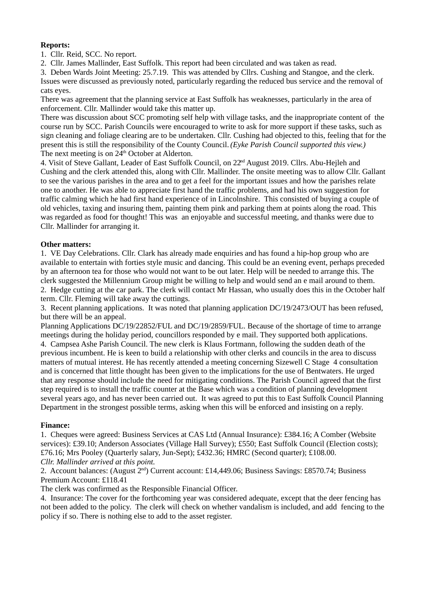# **Reports:**

1. Cllr. Reid, SCC. No report.

2. Cllr. James Mallinder, East Suffolk. This report had been circulated and was taken as read.

3. Deben Wards Joint Meeting: 25.7.19. This was attended by Cllrs. Cushing and Stangoe, and the clerk. Issues were discussed as previously noted, particularly regarding the reduced bus service and the removal of cats eyes.

There was agreement that the planning service at East Suffolk has weaknesses, particularly in the area of enforcement. Cllr. Mallinder would take this matter up.

There was discussion about SCC promoting self help with village tasks, and the inappropriate content of the course run by SCC. Parish Councils were encouraged to write to ask for more support if these tasks, such as sign cleaning and foliage clearing are to be undertaken. Cllr. Cushing had objected to this, feeling that for the present this is still the responsibility of the County Council. *(Eyke Parish Council supported this view.)* The next meeting is on  $24<sup>th</sup>$  October at Alderton.

4. Visit of Steve Gallant, Leader of East Suffolk Council, on 22<sup>nd</sup> August 2019. Cllrs. Abu-Hejleh and Cushing and the clerk attended this, along with Cllr. Mallinder. The onsite meeting was to allow Cllr. Gallant to see the various parishes in the area and to get a feel for the important issues and how the parishes relate one to another. He was able to appreciate first hand the traffic problems, and had his own suggestion for traffic calming which he had first hand experience of in Lincolnshire. This consisted of buying a couple of old vehicles, taxing and insuring them, painting them pink and parking them at points along the road. This was regarded as food for thought! This was an enjoyable and successful meeting, and thanks were due to Cllr. Mallinder for arranging it.

## **Other matters:**

1. VE Day Celebrations. Cllr. Clark has already made enquiries and has found a hip-hop group who are available to entertain with forties style music and dancing. This could be an evening event, perhaps preceded by an afternoon tea for those who would not want to be out later. Help will be needed to arrange this. The clerk suggested the Millennium Group might be willing to help and would send an e mail around to them. 2. Hedge cutting at the car park. The clerk will contact Mr Hassan, who usually does this in the October half term. Cllr. Fleming will take away the cuttings.

3. Recent planning applications. It was noted that planning application DC/19/2473/OUT has been refused, but there will be an appeal.

Planning Applications DC/19/22852/FUL and DC/19/2859/FUL. Because of the shortage of time to arrange meetings during the holiday period, councillors responded by e mail. They supported both applications. 4. Campsea Ashe Parish Council. The new clerk is Klaus Fortmann, following the sudden death of the previous incumbent. He is keen to build a relationship with other clerks and councils in the area to discuss matters of mutual interest. He has recently attended a meeting concerning Sizewell C Stage 4 consultation and is concerned that little thought has been given to the implications for the use of Bentwaters. He urged that any response should include the need for mitigating conditions. The Parish Council agreed that the first step required is to install the traffic counter at the Base which was a condition of planning development several years ago, and has never been carried out. It was agreed to put this to East Suffolk Council Planning Department in the strongest possible terms, asking when this will be enforced and insisting on a reply.

### **Finance:**

1. Cheques were agreed: Business Services at CAS Ltd (Annual Insurance): £384.16; A Comber (Website services): £39.10; Anderson Associates (Village Hall Survey); £550; East Suffolk Council (Election costs); £76.16; Mrs Pooley (Quarterly salary, Jun-Sept); £432.36; HMRC (Second quarter); £108.00. *Cllr. Mallinder arrived at this point.*

2. Account balances: (August 2<sup>nd</sup>) Current account: £14,449.06; Business Savings: £8570.74; Business Premium Account: £118.41

The clerk was confirmed as the Responsible Financial Officer.

4. Insurance: The cover for the forthcoming year was considered adequate, except that the deer fencing has not been added to the policy. The clerk will check on whether vandalism is included, and add fencing to the policy if so. There is nothing else to add to the asset register.